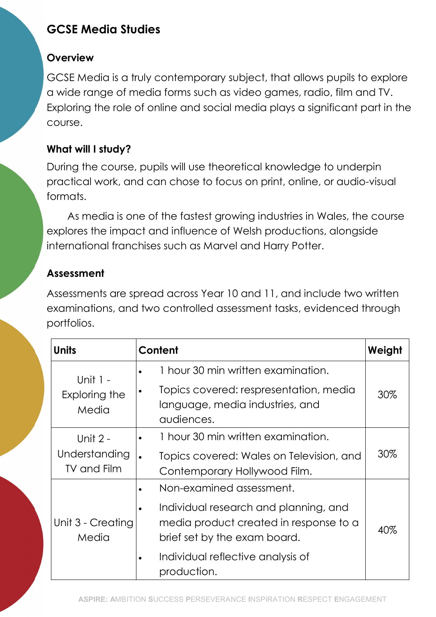# GCSE Media Studies

#### **Overview**

GCSE Media is a truly contemporary subject, that allows pupils to explore a wide range of media forms such as video games, radio, film and TV. Exploring the role of online and social media plays a significant part in the course.

### What will I study?

During the course, pupils will use theoretical knowledge to underpin practical work, and can chose to focus on print, online, or audio-visual formats.

As media is one of the fastest growing industries in Wales, the course explores the impact and influence of Welsh productions, alongside international franchises such as Marvel and Harry Potter.

## Assessment

Assessments are spread across Year 10 and 11, and include two written examinations, and two controlled assessment tasks, evidenced through portfolios.

| <b>Units</b>                                    | Content                                                                                                                                                                                         | Weight |
|-------------------------------------------------|-------------------------------------------------------------------------------------------------------------------------------------------------------------------------------------------------|--------|
| Unit $1 -$<br>Exploring the<br>Media            | 1 hour 30 min written examination.<br>Topics covered: respresentation, media<br>language, media industries, and<br>audiences.                                                                   | 30%    |
| Unit 2 -<br>Understanding<br><b>TV and Film</b> | 1 hour 30 min written examination.<br>Topics covered: Wales on Television, and<br>Contemporary Hollywood Film.                                                                                  | 30%    |
| Unit 3 - Creating<br>Media                      | Non-examined assessment.<br>Individual research and planning, and<br>media product created in response to a<br>brief set by the exam board.<br>Individual reflective analysis of<br>production. | 40%    |